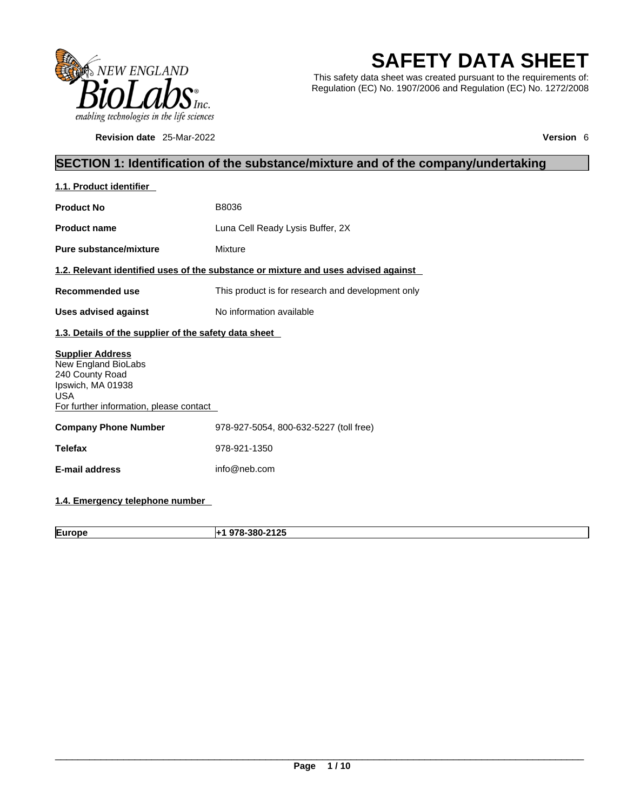

**Revision date** 25-Mar-2022 **Version** 6

# **SAFETY DATA SHEET**

This safety data sheet was created pursuant to the requirements of: Regulation (EC) No. 1907/2006 and Regulation (EC) No. 1272/2008

# **SECTION 1: Identification of the substance/mixture and of the company/undertaking**

| 1.1. Product identifier                                                                                                                         |                                                                                    |
|-------------------------------------------------------------------------------------------------------------------------------------------------|------------------------------------------------------------------------------------|
| <b>Product No</b>                                                                                                                               | B8036                                                                              |
| <b>Product name</b>                                                                                                                             | Luna Cell Ready Lysis Buffer, 2X                                                   |
| Pure substance/mixture                                                                                                                          | Mixture                                                                            |
|                                                                                                                                                 | 1.2. Relevant identified uses of the substance or mixture and uses advised against |
| Recommended use                                                                                                                                 | This product is for research and development only                                  |
| <b>Uses advised against</b>                                                                                                                     | No information available                                                           |
| 1.3. Details of the supplier of the safety data sheet                                                                                           |                                                                                    |
| <b>Supplier Address</b><br>New England BioLabs<br>240 County Road<br>Ipswich, MA 01938<br><b>USA</b><br>For further information, please contact |                                                                                    |
| <b>Company Phone Number</b>                                                                                                                     | 978-927-5054, 800-632-5227 (toll free)                                             |
| <b>Telefax</b>                                                                                                                                  | 978-921-1350                                                                       |
| E-mail address                                                                                                                                  | info@neb.com                                                                       |
|                                                                                                                                                 |                                                                                    |

# **1.4. Emergency telephone number**

**Europe +1 978-380-2125**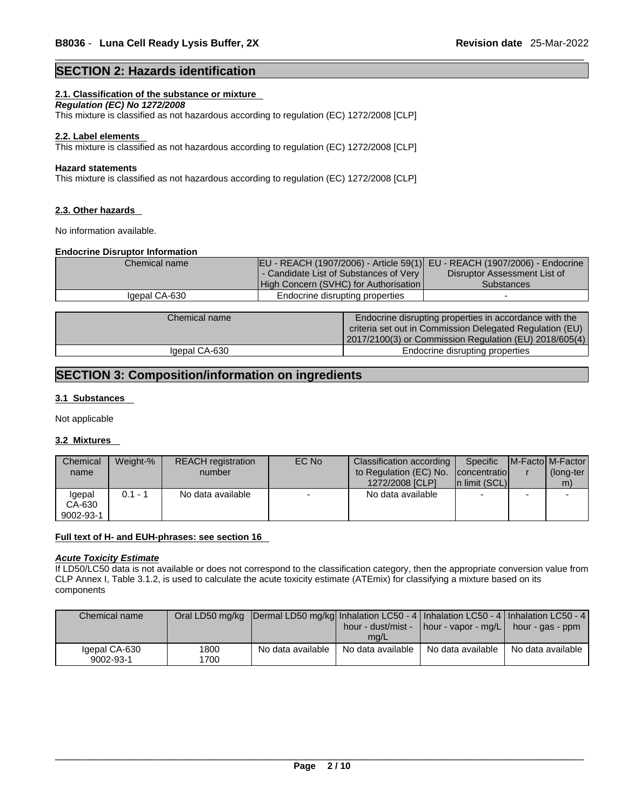# **SECTION 2: Hazards identification**

# **2.1. Classification of the substance or mixture**

*Regulation (EC) No 1272/2008* 

This mixture is classified as not hazardous according to regulation (EC) 1272/2008 [CLP]

#### **2.2. Label elements**

This mixture is classified as not hazardous according to regulation (EC) 1272/2008 [CLP]

#### **Hazard statements**

This mixture is classified as not hazardous according to regulation (EC) 1272/2008 [CLP]

#### **2.3. Other hazards**

No information available.

## **Endocrine Disruptor Information**

| Chemical name |                                        | EU - REACH (1907/2006) - Article 59(1) EU - REACH (1907/2006) - Endocrine |
|---------------|----------------------------------------|---------------------------------------------------------------------------|
|               | - Candidate List of Substances of Very | Disruptor Assessment List of                                              |
|               | High Concern (SVHC) for Authorisation  | <b>Substances</b>                                                         |
| Igepal CA-630 | Endocrine disrupting properties        |                                                                           |
|               |                                        |                                                                           |
| Chemical name |                                        | Endocrine disrupting properties in accordance with the                    |

| Chemical name | Endocrine disrupting properties in accordance with the<br>criteria set out in Commission Delegated Regulation (EU)<br>2017/2100(3) or Commission Regulation (EU) 2018/605(4) |  |
|---------------|------------------------------------------------------------------------------------------------------------------------------------------------------------------------------|--|
| Igepal CA-630 | Endocrine disrupting properties                                                                                                                                              |  |

# **SECTION 3: Composition/information on ingredients**

#### **3.1 Substances**

Not applicable

### **3.2 Mixtures**

| Chemical  | Weight-% | <b>REACH</b> registration | EC No                    | Classification according | Specific                 | <b>IM-Factol M-Factor</b> |
|-----------|----------|---------------------------|--------------------------|--------------------------|--------------------------|---------------------------|
| name      |          | number                    |                          | to Regulation (EC) No.   | <b>Concentratiol</b>     | (long-ter                 |
|           |          |                           |                          | 1272/2008 [CLP]          | In limit (SCL)           | m)                        |
| lgepal    | 0.1 - 1  | No data available         | $\overline{\phantom{0}}$ | No data available        | $\overline{\phantom{0}}$ |                           |
| CA-630    |          |                           |                          |                          |                          |                           |
| 9002-93-1 |          |                           |                          |                          |                          |                           |

#### **Full text of H- and EUH-phrases: see section 16**

#### *Acute Toxicity Estimate*

If LD50/LC50 data is not available or does not correspond to the classification category, then the appropriate conversion value from CLP Annex I, Table 3.1.2, is used to calculate the acute toxicity estimate (ATEmix) for classifying a mixture based on its components

| Chemical name              |              | Oral LD50 mg/kg  Dermal LD50 mg/kg  Inhalation LC50 - 4   Inhalation LC50 - 4   Inhalation LC50 - 4 | mg/L              | hour - dust/mist -   hour - vapor - mg/L   hour - gas - ppm |                   |
|----------------------------|--------------|-----------------------------------------------------------------------------------------------------|-------------------|-------------------------------------------------------------|-------------------|
| Igepal CA-630<br>9002-93-1 | 1800<br>1700 | No data available                                                                                   | No data available | No data available                                           | No data available |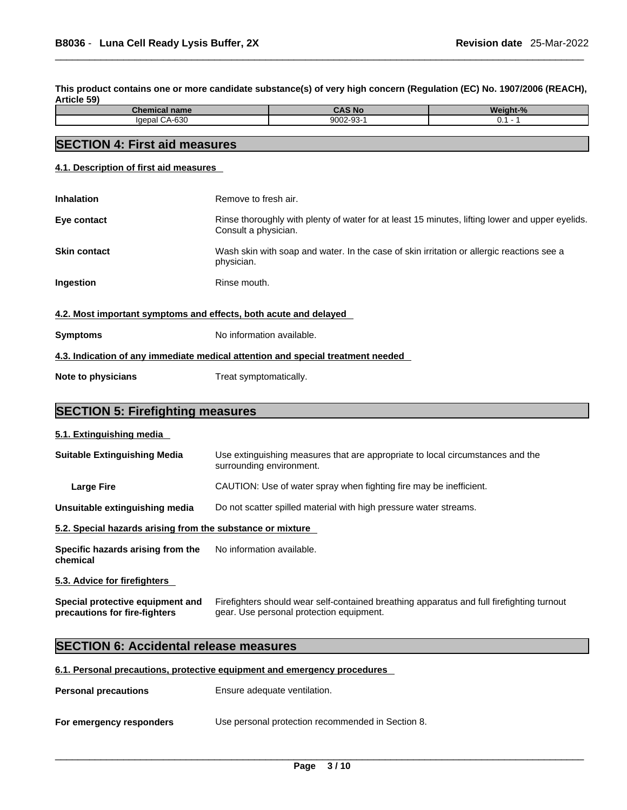This product contains one or more candidate substance(s) of very high concern (Regulation (EC) No. 1907/2006 (REACH), **Article 59)** 

| 'homi<br>emical name     | <b>CAS No</b> | <b>Weight-</b> |
|--------------------------|---------------|----------------|
| coo<br>nenal<br>. CA-03U | 9002-93-      | . v.           |

# **SECTION 4: First aid measures**

**4.1. Description of first aid measures**

| <b>Inhalation</b>                                                               | Remove to fresh air.                                                                                                    |  |
|---------------------------------------------------------------------------------|-------------------------------------------------------------------------------------------------------------------------|--|
| Eye contact                                                                     | Rinse thoroughly with plenty of water for at least 15 minutes, lifting lower and upper eyelids.<br>Consult a physician. |  |
| <b>Skin contact</b>                                                             | Wash skin with soap and water. In the case of skin irritation or allergic reactions see a<br>physician.                 |  |
| Ingestion                                                                       | Rinse mouth.                                                                                                            |  |
| 4.2. Most important symptoms and effects, both acute and delayed                |                                                                                                                         |  |
| <b>Symptoms</b>                                                                 | No information available.                                                                                               |  |
| 4.3. Indication of any immediate medical attention and special treatment needed |                                                                                                                         |  |
|                                                                                 |                                                                                                                         |  |

**Note to physicians** Treat symptomatically.

# **SECTION 5: Firefighting measures**

## **5.1. Extinguishing media**

| <b>Suitable Extinguishing Media</b>                        | Use extinguishing measures that are appropriate to local circumstances and the<br>surrounding environment. |
|------------------------------------------------------------|------------------------------------------------------------------------------------------------------------|
| Large Fire                                                 | CAUTION: Use of water spray when fighting fire may be inefficient.                                         |
| Unsuitable extinguishing media                             | Do not scatter spilled material with high pressure water streams.                                          |
| 5.2. Special hazards arising from the substance or mixture |                                                                                                            |
| Specific hazards arising from the<br>chemical              | No information available.                                                                                  |
| 5.3. Advice for firefighters                               |                                                                                                            |

**Special protective equipment and precautions for fire-fighters** Firefighters should wear self-contained breathing apparatus and full firefighting turnout gear. Use personal protection equipment.

# **SECTION 6: Accidental release measures**

# **6.1. Personal precautions, protective equipment and emergency procedures**

| <b>Personal precautions</b> | Ensure adequate ventilation.                      |
|-----------------------------|---------------------------------------------------|
| For emergency responders    | Use personal protection recommended in Section 8. |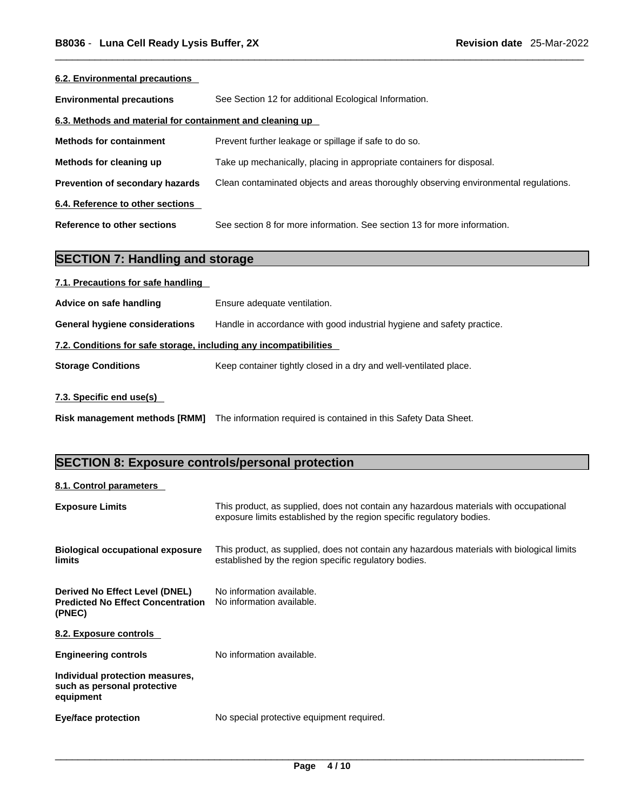| 6.2. Environmental precautions                            |                                                                                      |
|-----------------------------------------------------------|--------------------------------------------------------------------------------------|
| <b>Environmental precautions</b>                          | See Section 12 for additional Ecological Information.                                |
| 6.3. Methods and material for containment and cleaning up |                                                                                      |
| <b>Methods for containment</b>                            | Prevent further leakage or spillage if safe to do so.                                |
| Methods for cleaning up                                   | Take up mechanically, placing in appropriate containers for disposal.                |
| Prevention of secondary hazards                           | Clean contaminated objects and areas thoroughly observing environmental regulations. |
| 6.4. Reference to other sections                          |                                                                                      |
| Reference to other sections                               | See section 8 for more information. See section 13 for more information.             |

# **SECTION 7: Handling and storage**

| 7.1. Precautions for safe handling                                |                                                                        |
|-------------------------------------------------------------------|------------------------------------------------------------------------|
| Advice on safe handling                                           | Ensure adequate ventilation.                                           |
| <b>General hygiene considerations</b>                             | Handle in accordance with good industrial hygiene and safety practice. |
| 7.2. Conditions for safe storage, including any incompatibilities |                                                                        |
| <b>Storage Conditions</b>                                         | Keep container tightly closed in a dry and well-ventilated place.      |
|                                                                   |                                                                        |

# **7.3. Specific end use(s)**

**Risk management methods [RMM]** The information required is contained in this Safety Data Sheet.

# **SECTION 8: Exposure controls/personal protection**

# **8.1. Control parameters**

| <b>Exposure Limits</b>                                                               | This product, as supplied, does not contain any hazardous materials with occupational<br>exposure limits established by the region specific regulatory bodies. |
|--------------------------------------------------------------------------------------|----------------------------------------------------------------------------------------------------------------------------------------------------------------|
| <b>Biological occupational exposure</b><br>limits                                    | This product, as supplied, does not contain any hazardous materials with biological limits<br>established by the region specific regulatory bodies.            |
| Derived No Effect Level (DNEL)<br><b>Predicted No Effect Concentration</b><br>(PNEC) | No information available.<br>No information available.                                                                                                         |
| 8.2. Exposure controls                                                               |                                                                                                                                                                |
| <b>Engineering controls</b>                                                          | No information available.                                                                                                                                      |
| Individual protection measures,<br>such as personal protective<br>equipment          |                                                                                                                                                                |
| Eye/face protection                                                                  | No special protective equipment required.                                                                                                                      |
|                                                                                      |                                                                                                                                                                |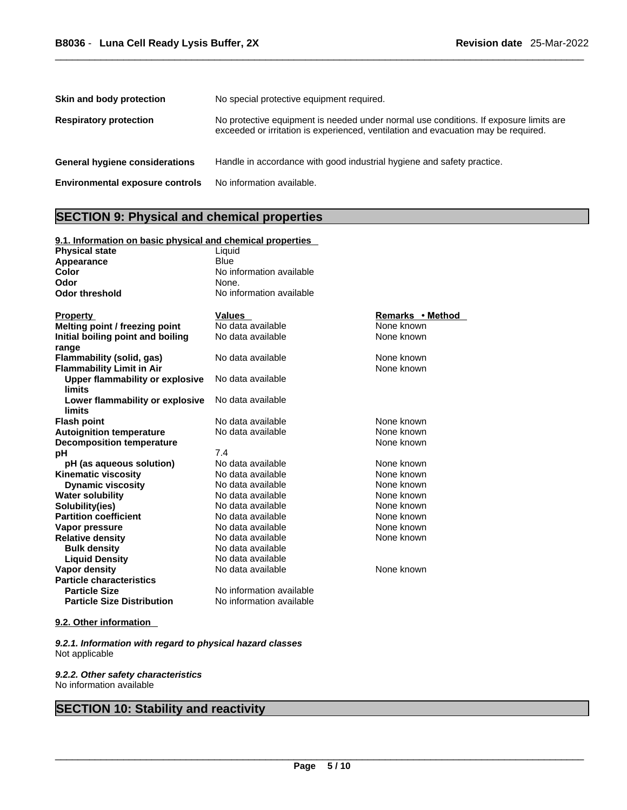| Skin and body protection               | No special protective equipment required.                                                                                                                                   |
|----------------------------------------|-----------------------------------------------------------------------------------------------------------------------------------------------------------------------------|
| <b>Respiratory protection</b>          | No protective equipment is needed under normal use conditions. If exposure limits are<br>exceeded or irritation is experienced, ventilation and evacuation may be required. |
| General hygiene considerations         | Handle in accordance with good industrial hygiene and safety practice.                                                                                                      |
| <b>Environmental exposure controls</b> | No information available.                                                                                                                                                   |

# **SECTION 9: Physical and chemical properties**

| 9.1. Information on basic physical and chemical properties |                          |                  |  |  |
|------------------------------------------------------------|--------------------------|------------------|--|--|
| <b>Physical state</b>                                      | Liquid                   |                  |  |  |
| Appearance                                                 | <b>Blue</b>              |                  |  |  |
| Color                                                      | No information available |                  |  |  |
| Odor                                                       | None.                    |                  |  |  |
| <b>Odor threshold</b>                                      | No information available |                  |  |  |
|                                                            |                          |                  |  |  |
| <b>Property</b>                                            | <b>Values</b>            | Remarks • Method |  |  |
| Melting point / freezing point                             | No data available        | None known       |  |  |
| Initial boiling point and boiling                          | No data available        | None known       |  |  |
| range                                                      |                          |                  |  |  |
| <b>Flammability (solid, gas)</b>                           | No data available        | None known       |  |  |
| <b>Flammability Limit in Air</b>                           |                          | None known       |  |  |
| <b>Upper flammability or explosive</b>                     | No data available        |                  |  |  |
| <b>limits</b>                                              |                          |                  |  |  |
| Lower flammability or explosive                            | No data available        |                  |  |  |
| limits                                                     |                          |                  |  |  |
| <b>Flash point</b>                                         | No data available        | None known       |  |  |
| <b>Autoignition temperature</b>                            | No data available        | None known       |  |  |
| <b>Decomposition temperature</b>                           |                          | None known       |  |  |
| pH                                                         | 7.4                      |                  |  |  |
| pH (as aqueous solution)                                   | No data available        | None known       |  |  |
| <b>Kinematic viscosity</b>                                 | No data available        | None known       |  |  |
| <b>Dynamic viscosity</b>                                   | No data available        | None known       |  |  |
| <b>Water solubility</b>                                    | No data available        | None known       |  |  |
| Solubility(ies)                                            | No data available        | None known       |  |  |
| <b>Partition coefficient</b>                               | No data available        | None known       |  |  |
| Vapor pressure                                             | No data available        | None known       |  |  |
| <b>Relative density</b>                                    | No data available        | None known       |  |  |
| <b>Bulk density</b>                                        | No data available        |                  |  |  |
| <b>Liquid Density</b>                                      | No data available        |                  |  |  |
| <b>Vapor density</b>                                       | No data available        | None known       |  |  |
| <b>Particle characteristics</b>                            |                          |                  |  |  |
| <b>Particle Size</b>                                       | No information available |                  |  |  |
| <b>Particle Size Distribution</b>                          | No information available |                  |  |  |
|                                                            |                          |                  |  |  |

# **9.2. Other information**

*9.2.1. Information with regard to physical hazard classes* Not applicable

*9.2.2. Other safety characteristics* No information available

# **SECTION 10: Stability and reactivity**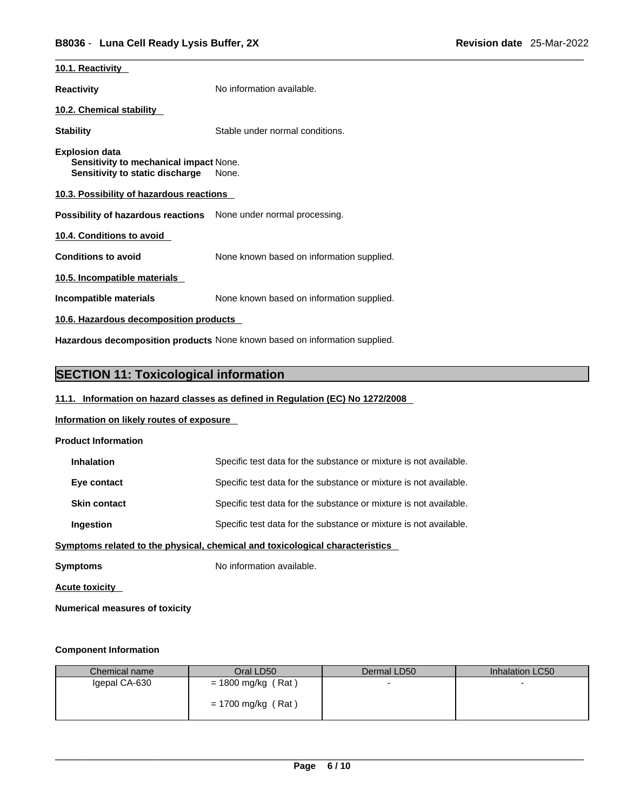| 10.1. Reactivity                                                                                   |                                           |  |  |  |
|----------------------------------------------------------------------------------------------------|-------------------------------------------|--|--|--|
| <b>Reactivity</b>                                                                                  | No information available.                 |  |  |  |
| 10.2. Chemical stability                                                                           |                                           |  |  |  |
| <b>Stability</b>                                                                                   | Stable under normal conditions.           |  |  |  |
| <b>Explosion data</b><br>Sensitivity to mechanical impact None.<br>Sensitivity to static discharge | None.                                     |  |  |  |
| 10.3. Possibility of hazardous reactions                                                           |                                           |  |  |  |
| Possibility of hazardous reactions None under normal processing.                                   |                                           |  |  |  |
| 10.4. Conditions to avoid                                                                          |                                           |  |  |  |
| <b>Conditions to avoid</b>                                                                         | None known based on information supplied. |  |  |  |
| 10.5. Incompatible materials                                                                       |                                           |  |  |  |
| Incompatible materials                                                                             | None known based on information supplied. |  |  |  |
| 10.6. Hazardous decomposition products                                                             |                                           |  |  |  |
| Hazardous decomposition products None known based on information supplied.                         |                                           |  |  |  |

# **SECTION 11: Toxicological information**

# **11.1. Information on hazard classes as defined in Regulation (EC) No 1272/2008**

# **Information on likely routes of exposure**

## **Product Information**

| <b>Inhalation</b>                                                            | Specific test data for the substance or mixture is not available. |  |
|------------------------------------------------------------------------------|-------------------------------------------------------------------|--|
| Eye contact                                                                  | Specific test data for the substance or mixture is not available. |  |
| <b>Skin contact</b>                                                          | Specific test data for the substance or mixture is not available. |  |
| <b>Ingestion</b>                                                             | Specific test data for the substance or mixture is not available. |  |
| Symptoms related to the physical, chemical and toxicological characteristics |                                                                   |  |
|                                                                              |                                                                   |  |

**Symptoms** No information available.

**Acute toxicity** 

**Numerical measures of toxicity**

## **Component Information**

| Chemical name | Oral LD50            | Dermal LD50 | Inhalation LC50 |
|---------------|----------------------|-------------|-----------------|
| Igepal CA-630 | $= 1800$ mg/kg (Rat) |             |                 |
|               | $= 1700$ mg/kg (Rat) |             |                 |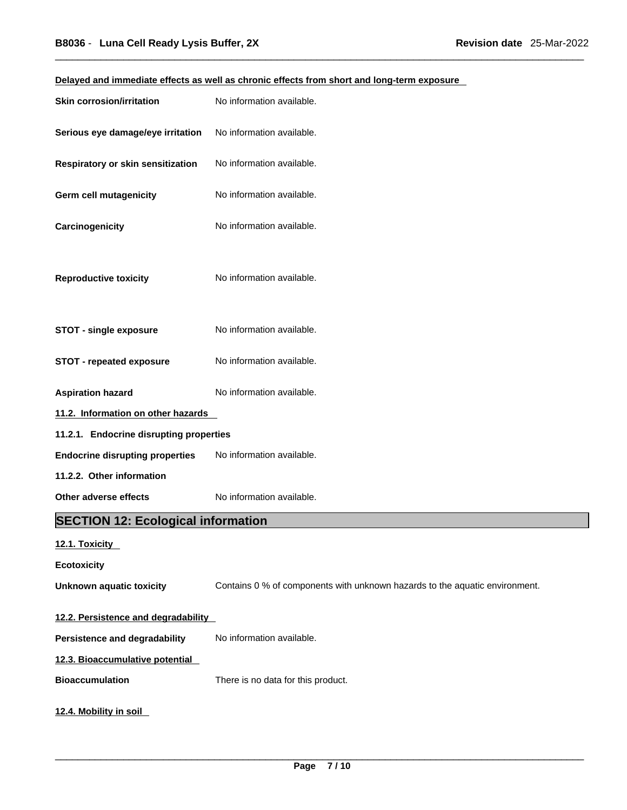| Delayed and immediate effects as well as chronic effects from short and long-term exposure |                                                                             |  |  |
|--------------------------------------------------------------------------------------------|-----------------------------------------------------------------------------|--|--|
| <b>Skin corrosion/irritation</b>                                                           | No information available.                                                   |  |  |
| Serious eye damage/eye irritation                                                          | No information available.                                                   |  |  |
| Respiratory or skin sensitization                                                          | No information available.                                                   |  |  |
| <b>Germ cell mutagenicity</b>                                                              | No information available.                                                   |  |  |
| Carcinogenicity                                                                            | No information available.                                                   |  |  |
| <b>Reproductive toxicity</b>                                                               | No information available.                                                   |  |  |
| <b>STOT - single exposure</b>                                                              | No information available.                                                   |  |  |
| <b>STOT - repeated exposure</b>                                                            | No information available.                                                   |  |  |
| <b>Aspiration hazard</b>                                                                   | No information available.                                                   |  |  |
| 11.2. Information on other hazards                                                         |                                                                             |  |  |
| 11.2.1. Endocrine disrupting properties                                                    |                                                                             |  |  |
| <b>Endocrine disrupting properties</b>                                                     | No information available.                                                   |  |  |
| 11.2.2. Other information                                                                  |                                                                             |  |  |
| Other adverse effects                                                                      | No information available.                                                   |  |  |
| <b>SECTION 12: Ecological information</b>                                                  |                                                                             |  |  |
| 12.1. Toxicity                                                                             |                                                                             |  |  |
| <b>Ecotoxicity</b>                                                                         |                                                                             |  |  |
| <b>Unknown aquatic toxicity</b>                                                            | Contains 0 % of components with unknown hazards to the aquatic environment. |  |  |
| 12.2. Persistence and degradability                                                        |                                                                             |  |  |
| Persistence and degradability                                                              | No information available.                                                   |  |  |
| 12.3. Bioaccumulative potential                                                            |                                                                             |  |  |
| <b>Bioaccumulation</b>                                                                     | There is no data for this product.                                          |  |  |
| 12.4. Mobility in soil                                                                     |                                                                             |  |  |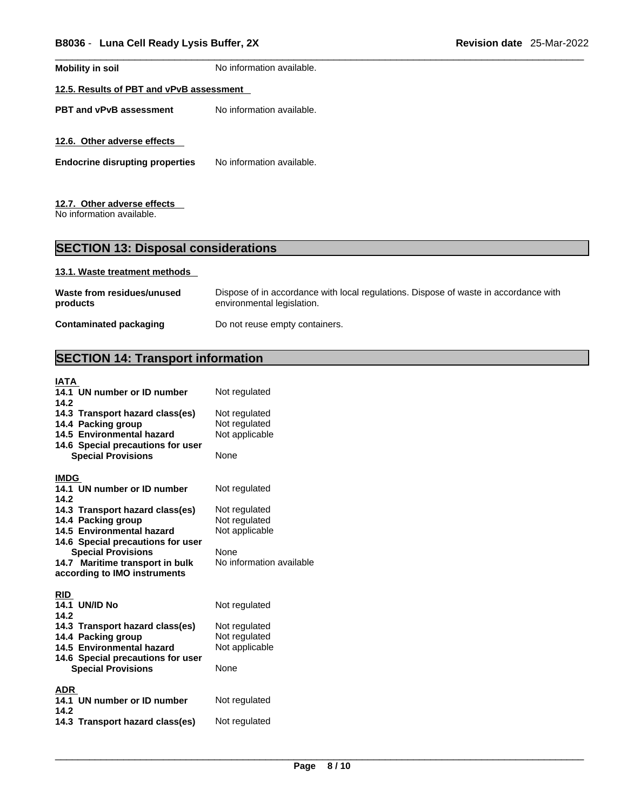**Mobility in soil** No information available.

# **12.5. Results of PBT and vPvB assessment**

**PBT** and **vPvB** assessment No information available.

**12.6. Other adverse effects** 

**Endocrine disrupting properties** No information available.

# **12.7. Other adverse effects**

No information available.

# **SECTION 13: Disposal considerations**

## **13.1. Waste treatment methods**

| Waste from residues/unused | Dispose of in accordance with local regulations. Dispose of waste in accordance with |
|----------------------------|--------------------------------------------------------------------------------------|
| products                   | environmental legislation.                                                           |
| Contaminated packaging     | Do not reuse empty containers.                                                       |

# **SECTION 14: Transport information**

| <b>IATA</b>                       |                          |
|-----------------------------------|--------------------------|
| 14.1 UN number or ID number       | Not regulated            |
| 14.2                              |                          |
| 14.3 Transport hazard class(es)   | Not regulated            |
| 14.4 Packing group                | Not regulated            |
| 14.5 Environmental hazard         | Not applicable           |
| 14.6 Special precautions for user |                          |
| <b>Special Provisions</b>         | None                     |
| <b>IMDG</b>                       |                          |
| 14.1 UN number or ID number       | Not regulated            |
| 14.2                              |                          |
| 14.3 Transport hazard class(es)   | Not regulated            |
| 14.4 Packing group                | Not regulated            |
| 14.5 Environmental hazard         | Not applicable           |
| 14.6 Special precautions for user |                          |
| <b>Special Provisions</b>         | None                     |
| 14.7 Maritime transport in bulk   | No information available |
| according to IMO instruments      |                          |
| <b>RID</b>                        |                          |
| <b>14.1 UN/ID No</b>              | Not regulated            |
| 14.2                              |                          |
| 14.3 Transport hazard class(es)   | Not regulated            |
| 14.4 Packing group                | Not regulated            |
| 14.5 Environmental hazard         | Not applicable           |
| 14.6 Special precautions for user |                          |
| <b>Special Provisions</b>         | None                     |
| <b>ADR</b>                        |                          |
| 14.1 UN number or ID number       | Not regulated            |
| 14.2                              |                          |
| 14.3 Transport hazard class(es)   | Not regulated            |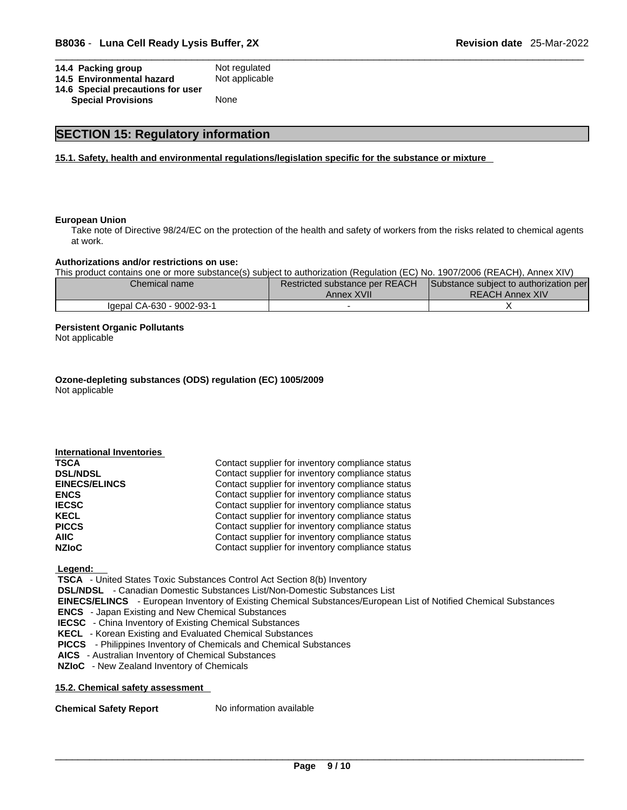| 14.4 Packing group                | Not regulated  |  |
|-----------------------------------|----------------|--|
| 14.5 Environmental hazard         | Not applicable |  |
| 14.6 Special precautions for user |                |  |

**14.6 Special precautions for user Special Provisions** 

# **SECTION 15: Regulatory information**

**15.1. Safety, health and environmental regulations/legislation specific for the substance or mixture**

#### **European Union**

Take note of Directive 98/24/EC on the protection of the health and safety of workers from the risks related to chemical agents at work.

#### **Authorizations and/or restrictions on use:**

This product contains one or more substance(s) subject to authorization (Regulation (EC) No. 1907/2006 (REACH), Annex XIV)

| Chemical name l           | Restricted substance per REACH | Substance subject to authorization per |  |
|---------------------------|--------------------------------|----------------------------------------|--|
|                           | Annex XVII                     | <b>REACH Annex XIV</b>                 |  |
| Igepal CA-630 - 9002-93-1 |                                |                                        |  |

#### **Persistent Organic Pollutants**

Not applicable

**Ozone-depleting substances (ODS) regulation (EC) 1005/2009** Not applicable

| <b>International Inventories</b> |                                                  |
|----------------------------------|--------------------------------------------------|
| <b>TSCA</b>                      | Contact supplier for inventory compliance status |
| <b>DSL/NDSL</b>                  | Contact supplier for inventory compliance status |
| <b>EINECS/ELINCS</b>             | Contact supplier for inventory compliance status |
| <b>ENCS</b>                      | Contact supplier for inventory compliance status |
| <b>IECSC</b>                     | Contact supplier for inventory compliance status |
| <b>KECL</b>                      | Contact supplier for inventory compliance status |
| <b>PICCS</b>                     | Contact supplier for inventory compliance status |
| AIIC-                            | Contact supplier for inventory compliance status |
| <b>NZIoC</b>                     | Contact supplier for inventory compliance status |

 **Legend:** 

 **TSCA** - United States Toxic Substances Control Act Section 8(b) Inventory

 **DSL/NDSL** - Canadian Domestic Substances List/Non-Domestic Substances List

 **EINECS/ELINCS** - European Inventory of Existing Chemical Substances/European List of Notified Chemical Substances

 **ENCS** - Japan Existing and New Chemical Substances

 **IECSC** - China Inventory of Existing Chemical Substances

 **KECL** - Korean Existing and Evaluated Chemical Substances

 **PICCS** - Philippines Inventory of Chemicals and Chemical Substances

 **AICS** - Australian Inventory of Chemical Substances

 **NZIoC** - New Zealand Inventory of Chemicals

#### **15.2. Chemical safety assessment**

**Chemical Safety Report** No information available